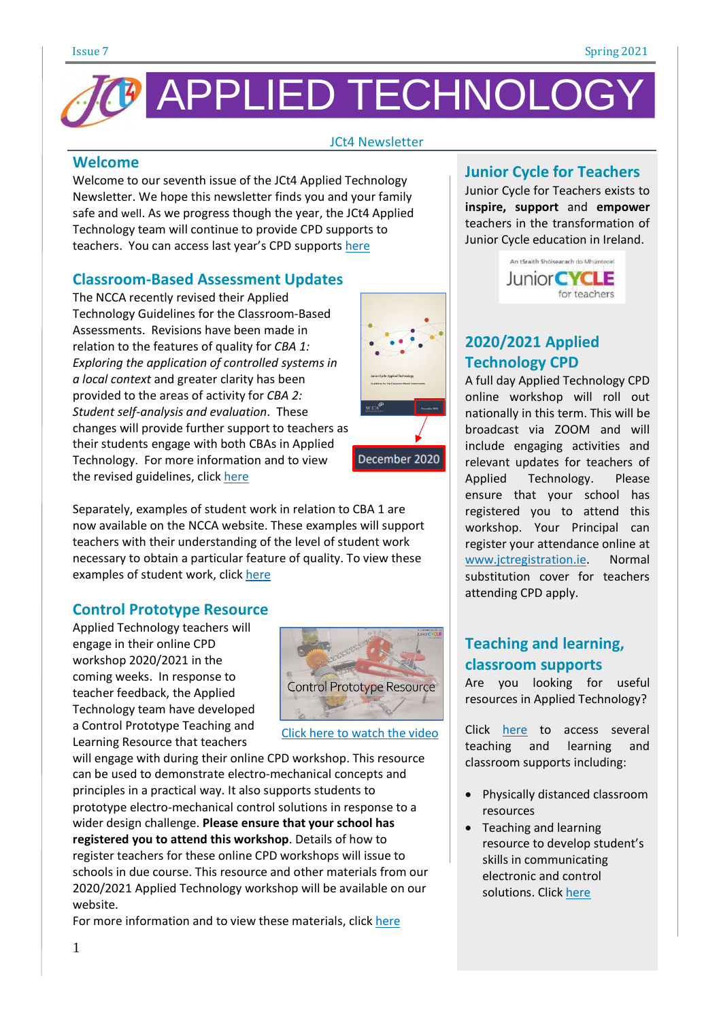

### JCt4 Newsletter

### **Welcome**

Welcome to our seventh issue of the JCt4 Applied Technology Newsletter. We hope this newsletter finds you and your family safe and well. As we progress though the year, the JCt4 Applied Technology team will continue to provide CPD supports to teachers. You can access last year's CPD supports [here](https://www.jct.ie/technologies/cpd_supports_applied_technology_cpd_workshops_2019_2020)

### **Classroom-Based Assessment Updates**

The NCCA recently revised their Applied Technology Guidelines for the Classroom-Based Assessments. Revisions have been made in relation to the features of quality for *CBA 1: Exploring the application of controlled systems in a local context* and greater clarity has been provided to the areas of activity for *CBA 2: Student self-analysis and evaluation*. These changes will provide further support to teachers as their students engage with both CBAs in Applied Technology. For more information and to view the revised guidelines, click [here](https://curriculumonline.ie/getmedia/07aba039-b0df-4612-a071-8e225ae71977/Applied-Technology-AG.pdf)



### **Control Prototype Resource**

Applied Technology teachers will engage in their online CPD workshop 2020/2021 in the coming weeks. In response to teacher feedback, the Applied Technology team have developed a Control Prototype Teaching and Learning Resource that teachers



December 2020

Click here to [watch](https://youtu.be/R2bPQWLHUfQ) the video

will engage with during their online CPD workshop. This resource can be used to demonstrate electro-mechanical concepts and principles in a practical way. It also supports students to prototype electro-mechanical control solutions in response to a wider design challenge. **Please ensure that your school has registered you to attend this workshop**. Details of how to register teachers for these online CPD workshops will issue to schools in due course. This resource and other materials from our 2020/2021 Applied Technology workshop will be available on our website.

For more information and to view these materials, click [here](https://www.jct.ie/technologies/cpd_supports_applied_technology_cpd_workshops_2020_2021)

### **Junior Cycle for Teachers**

Junior Cycle for Teachers exists to **inspire, support** and **empower** teachers in the transformation of Junior Cycle education in Ireland.



## **2020/2021 Applied Technology CPD**

A full day Applied Technology CPD online workshop will roll out nationally in this term. This will be broadcast via ZOOM and will include engaging activities and relevant updates for teachers of Applied Technology. Please ensure that your school has registered you to attend this workshop. Your Principal can register your attendance online at [www.jctregistration.ie.](http://www.jctregistration.ie/) Normal substitution cover for teachers attending CPD apply.

## **Teaching and learning, classroom supports**

Are you looking for useful resources in Applied Technology?

Click [here](https://www.jct.ie/technologies/resources_applied_technology) to access several teaching and learning and classroom supports including:

- Physically distanced classroom resources
- Teaching and learning resource to develop student's skills in communicating electronic and control solutions. Click [here](https://www.jct.ie/perch/resources/technologies/applied-technology-webinar-sample-activity-to-promote-communication-skills.pdf)